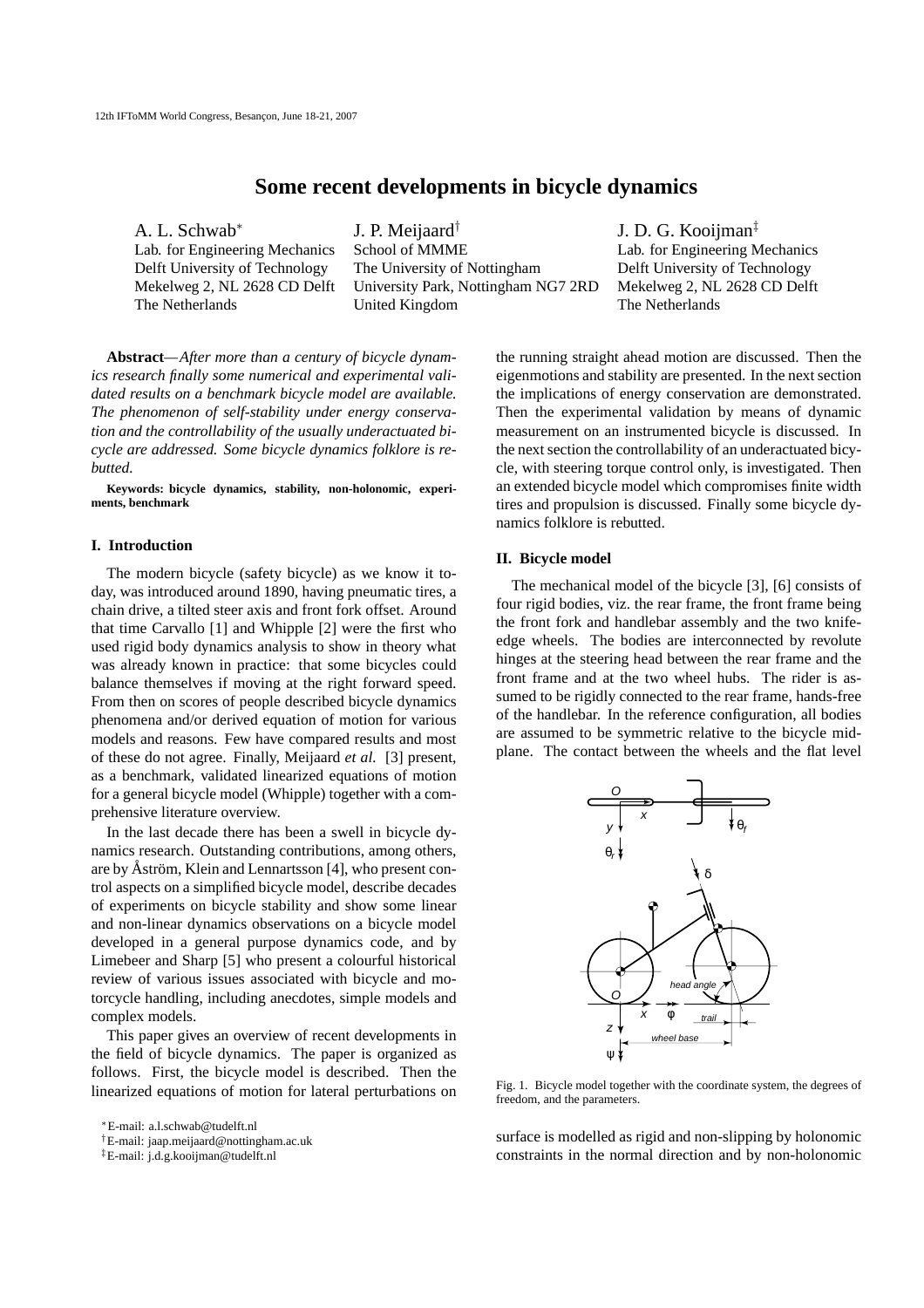# **Some recent developments in bicycle dynamics**

A. L. Schwab<sup>∗</sup>

J. P. Meijaard† Lab. for Engineering Mechanics School of MMME Lab. for Engineering Mechanics Delft University of Technology The University of Nottingham Delft University of Technology Mekelweg 2, NL 2628 CD Delft University Park, Nottingham NG7 2RD Mekelweg 2, NL 2628 CD Delft The Netherlands United Kingdom The Netherlands

J. D. G. Kooijman‡

**Abstract***—After more than a century of bicycle dynamics research finally some numerical and experimental validated results on a benchmark bicycle model are available. The phenomenon of self-stability under energy conservation and the controllability of the usually underactuated bicycle are addressed. Some bicycle dynamics folklore is rebutted.*

**Keywords: bicycle dynamics, stability, non-holonomic, experiments, benchmark**

### **I. Introduction**

The modern bicycle (safety bicycle) as we know it today, was introduced around 1890, having pneumatic tires, a chain drive, a tilted steer axis and front fork offset. Around that time Carvallo [1] and Whipple [2] were the first who used rigid body dynamics analysis to show in theory what was already known in practice: that some bicycles could balance themselves if moving at the right forward speed. From then on scores of people described bicycle dynamics phenomena and/or derived equation of motion for various models and reasons. Few have compared results and most of these do not agree. Finally, Meijaard *et al.* [3] present, as a benchmark, validated linearized equations of motion for a general bicycle model (Whipple) together with a comprehensive literature overview.

In the last decade there has been a swell in bicycle dynamics research. Outstanding contributions, among others, are by Åström, Klein and Lennartsson [4], who present control aspects on a simplified bicycle model, describe decades of experiments on bicycle stability and show some linear and non-linear dynamics observations on a bicycle model developed in a general purpose dynamics code, and by Limebeer and Sharp [5] who present a colourful historical review of various issues associated with bicycle and motorcycle handling, including anecdotes, simple models and complex models.

This paper gives an overview of recent developments in the field of bicycle dynamics. The paper is organized as follows. First, the bicycle model is described. Then the linearized equations of motion for lateral perturbations on

<sup>∗</sup>E-mail: a.l.schwab@tudelft.nl

†E-mail: jaap.meijaard@nottingham.ac.uk

the running straight ahead motion are discussed. Then the eigenmotions and stability are presented. In the next section the implications of energy conservation are demonstrated. Then the experimental validation by means of dynamic measurement on an instrumented bicycle is discussed. In the next section the controllability of an underactuated bicycle, with steering torque control only, is investigated. Then an extended bicycle model which compromises finite width tires and propulsion is discussed. Finally some bicycle dynamics folklore is rebutted.

### **II. Bicycle model**

The mechanical model of the bicycle [3], [6] consists of four rigid bodies, viz. the rear frame, the front frame being the front fork and handlebar assembly and the two knifeedge wheels. The bodies are interconnected by revolute hinges at the steering head between the rear frame and the front frame and at the two wheel hubs. The rider is assumed to be rigidly connected to the rear frame, hands-free of the handlebar. In the reference configuration, all bodies are assumed to be symmetric relative to the bicycle midplane. The contact between the wheels and the flat level



Fig. 1. Bicycle model together with the coordinate system, the degrees of freedom, and the parameters.

surface is modelled as rigid and non-slipping by holonomic constraints in the normal direction and by non-holonomic

<sup>‡</sup>E-mail: j.d.g.kooijman@tudelft.nl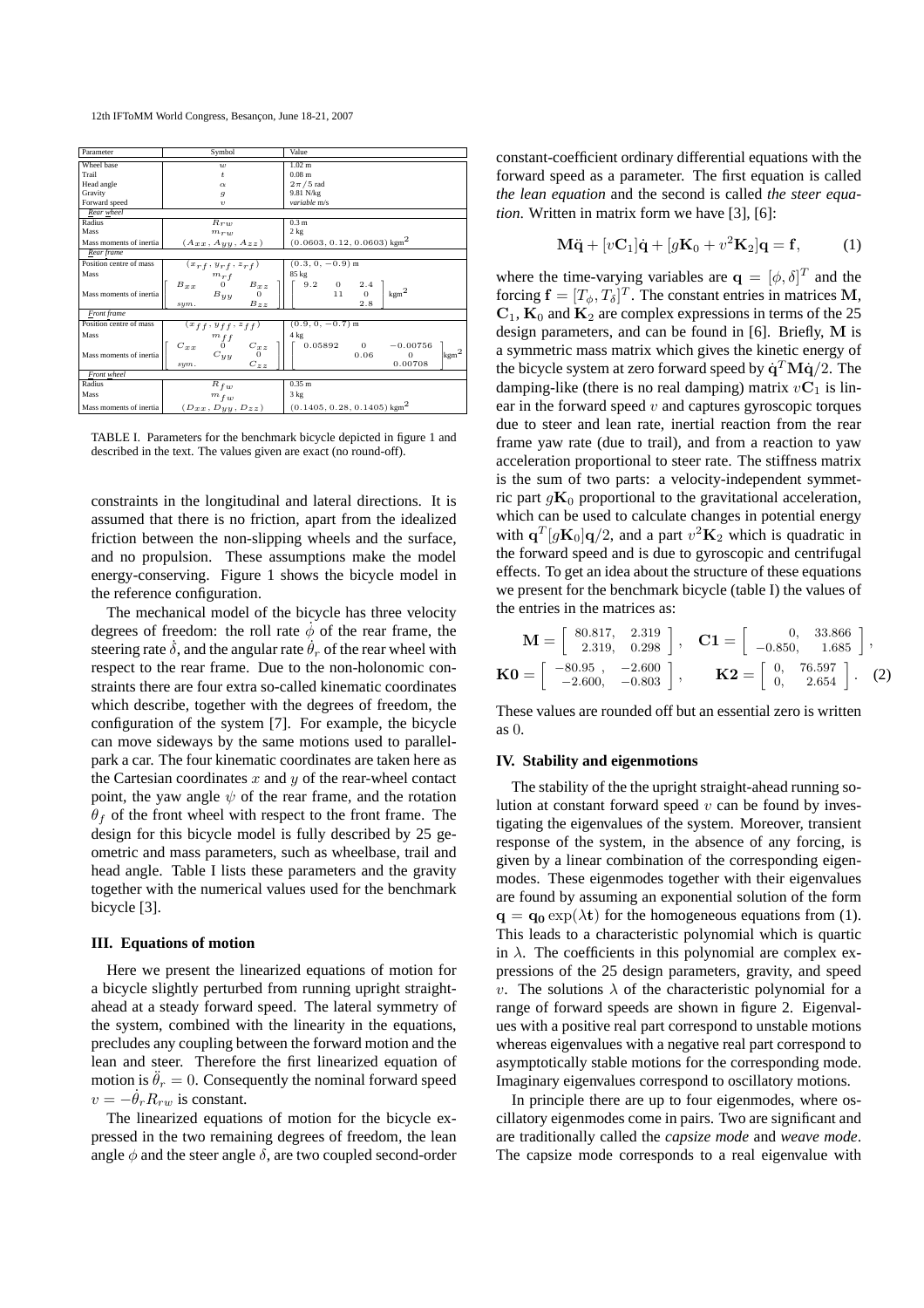12th IFToMM World Congress, Besançon, June 18-21, 2007

| Parameter               | Symbol                                                                                                                                        | Value                                                                                                                                             |
|-------------------------|-----------------------------------------------------------------------------------------------------------------------------------------------|---------------------------------------------------------------------------------------------------------------------------------------------------|
| Wheel base              | w                                                                                                                                             | 1.02 <sub>m</sub>                                                                                                                                 |
| Trail                   | $\ddot{t}$                                                                                                                                    | 0.08 <sub>m</sub>                                                                                                                                 |
| Head angle              | $\alpha$                                                                                                                                      | $2\pi/5$ rad                                                                                                                                      |
| Gravity                 | $\overline{g}$                                                                                                                                | 9.81 N/kg                                                                                                                                         |
| Forward speed           | $\upsilon$                                                                                                                                    | variable m/s                                                                                                                                      |
| Rear wheel              |                                                                                                                                               |                                                                                                                                                   |
| Radius                  | $R_{T10}$                                                                                                                                     | 0.3 <sub>m</sub>                                                                                                                                  |
| Mass                    | $m_{T10}$                                                                                                                                     | 2 kg                                                                                                                                              |
| Mass moments of inertia | $(A_{xx}, A_{yy}, A_{zz})$                                                                                                                    | $(0.0603, 0.12, 0.0603)$ kgm <sup>2</sup>                                                                                                         |
| Rear frame              |                                                                                                                                               |                                                                                                                                                   |
| Position centre of mass | $(x_{rf}, y_{rf}, z_{rf})$                                                                                                                    | $(0.3, 0, -0.9)$ m                                                                                                                                |
| Mass                    |                                                                                                                                               | 85 kg                                                                                                                                             |
| Mass moments of inertia | $B_{xx} \begin{array}{ccc} & m_{rf} & \\ 0 & & B_{xz} \\ & B_{yy} & & 0 \end{array}$<br>$B_{zz}$<br>sym.                                      | $\begin{array}{ccc} 9.2 & \hspace{.15cm} 0 & \hspace{.15cm} 2.4 \\ & \hspace{.15cm} 11 & \hspace{.15cm} 0 \end{array}$<br>$\mathrm{kgm}^2$<br>2.8 |
| <b>Front</b> frame      |                                                                                                                                               |                                                                                                                                                   |
| Position centre of mass |                                                                                                                                               | $(0.9, 0, -0.7)$ m                                                                                                                                |
| Mass                    |                                                                                                                                               | 4 kg                                                                                                                                              |
| Mass moments of inertia | $\begin{array}{cc} (x_{f f}, y_{f f}, z_{f f}) \\ m_{f f} \\ C_{xx} & 0 & C_{x z} \\ C_{y y} & 0 \end{array}.$<br>$C_{z\underline z}$<br>sym. | $0.05892$ 0<br>$-0.00756$<br>$\mathrm{Ikgm^2}$<br>0.06<br>$\Omega$<br>0.00708                                                                     |
| Front wheel             |                                                                                                                                               |                                                                                                                                                   |
| Radius                  | $R_{fw}$                                                                                                                                      | 0.35 m                                                                                                                                            |
| Mass                    | $m_{fw}$                                                                                                                                      | 3 kg                                                                                                                                              |
| Mass moments of inertia | $(D_{xx}, D_{yy}, D_{zz})$                                                                                                                    | $(0.1405, 0.28, 0.1405)$ kgm <sup>2</sup>                                                                                                         |

TABLE I. Parameters for the benchmark bicycle depicted in figure 1 and described in the text. The values given are exact (no round-off).

constraints in the longitudinal and lateral directions. It is assumed that there is no friction, apart from the idealized friction between the non-slipping wheels and the surface, and no propulsion. These assumptions make the model energy-conserving. Figure 1 shows the bicycle model in the reference configuration.

The mechanical model of the bicycle has three velocity degrees of freedom: the roll rate  $\phi$  of the rear frame, the steering rate  $\delta$ , and the angular rate  $\theta_r$  of the rear wheel with respect to the rear frame. Due to the non-holonomic constraints there are four extra so-called kinematic coordinates which describe, together with the degrees of freedom, the configuration of the system [7]. For example, the bicycle can move sideways by the same motions used to parallelpark a car. The four kinematic coordinates are taken here as the Cartesian coordinates  $x$  and  $y$  of the rear-wheel contact point, the yaw angle  $\psi$  of the rear frame, and the rotation  $\theta_f$  of the front wheel with respect to the front frame. The design for this bicycle model is fully described by 25 geometric and mass parameters, such as wheelbase, trail and head angle. Table I lists these parameters and the gravity together with the numerical values used for the benchmark bicycle [3].

## **III. Equations of motion**

Here we present the linearized equations of motion for a bicycle slightly perturbed from running upright straightahead at a steady forward speed. The lateral symmetry of the system, combined with the linearity in the equations, precludes any coupling between the forward motion and the lean and steer. Therefore the first linearized equation of motion is  $\ddot{\theta}_r = 0$ . Consequently the nominal forward speed  $v = -\dot{\theta}_r R_{rw}$  is constant.

The linearized equations of motion for the bicycle expressed in the two remaining degrees of freedom, the lean angle  $\phi$  and the steer angle  $\delta$ , are two coupled second-order constant-coefficient ordinary differential equations with the forward speed as a parameter. The first equation is called *the lean equation* and the second is called *the steer equation*. Written in matrix form we have [3], [6]:

$$
\mathbf{M}\ddot{\mathbf{q}} + [v\mathbf{C}_1]\dot{\mathbf{q}} + [g\mathbf{K}_0 + v^2\mathbf{K}_2]\mathbf{q} = \mathbf{f}, \quad (1)
$$

where the time-varying variables are  $\mathbf{q} = [\phi, \delta]^T$  and the forcing  $\mathbf{f} = [T_{\phi}, T_{\delta}]^T$ . The constant entries in matrices M,  $C_1$ ,  $K_0$  and  $K_2$  are complex expressions in terms of the 25 design parameters, and can be found in [6]. Briefly, M is a symmetric mass matrix which gives the kinetic energy of the bicycle system at zero forward speed by  $\dot{\mathbf{q}}^T \mathbf{M} \dot{\mathbf{q}}/2$ . The damping-like (there is no real damping) matrix  $vC_1$  is linear in the forward speed  $v$  and captures gyroscopic torques due to steer and lean rate, inertial reaction from the rear frame yaw rate (due to trail), and from a reaction to yaw acceleration proportional to steer rate. The stiffness matrix is the sum of two parts: a velocity-independent symmetric part  $g\mathbf{K}_0$  proportional to the gravitational acceleration, which can be used to calculate changes in potential energy with  $\mathbf{q}^T[g\mathbf{K}_0]\mathbf{q}/2$ , and a part  $v^2\mathbf{K}_2$  which is quadratic in the forward speed and is due to gyroscopic and centrifugal effects. To get an idea about the structure of these equations we present for the benchmark bicycle (table I) the values of the entries in the matrices as:

$$
\mathbf{M} = \begin{bmatrix} 80.817, & 2.319 \\ 2.319, & 0.298 \end{bmatrix}, \quad \mathbf{C1} = \begin{bmatrix} 0, & 33.866 \\ -0.850, & 1.685 \end{bmatrix},
$$

$$
\mathbf{K0} = \begin{bmatrix} -80.95, & -2.600 \\ -2.600, & -0.803 \end{bmatrix}, \quad \mathbf{K2} = \begin{bmatrix} 0, & 76.597 \\ 0, & 2.654 \end{bmatrix}. \quad (2)
$$

These values are rounded off but an essential zero is written as 0.

# **IV. Stability and eigenmotions**

The stability of the the upright straight-ahead running solution at constant forward speed  $v$  can be found by investigating the eigenvalues of the system. Moreover, transient response of the system, in the absence of any forcing, is given by a linear combination of the corresponding eigenmodes. These eigenmodes together with their eigenvalues are found by assuming an exponential solution of the form  $q = q_0 \exp(\lambda t)$  for the homogeneous equations from (1). This leads to a characteristic polynomial which is quartic in  $\lambda$ . The coefficients in this polynomial are complex expressions of the 25 design parameters, gravity, and speed v. The solutions  $\lambda$  of the characteristic polynomial for a range of forward speeds are shown in figure 2. Eigenvalues with a positive real part correspond to unstable motions whereas eigenvalues with a negative real part correspond to asymptotically stable motions for the corresponding mode. Imaginary eigenvalues correspond to oscillatory motions.

In principle there are up to four eigenmodes, where oscillatory eigenmodes come in pairs. Two are significant and are traditionally called the *capsize mode* and *weave mode*. The capsize mode corresponds to a real eigenvalue with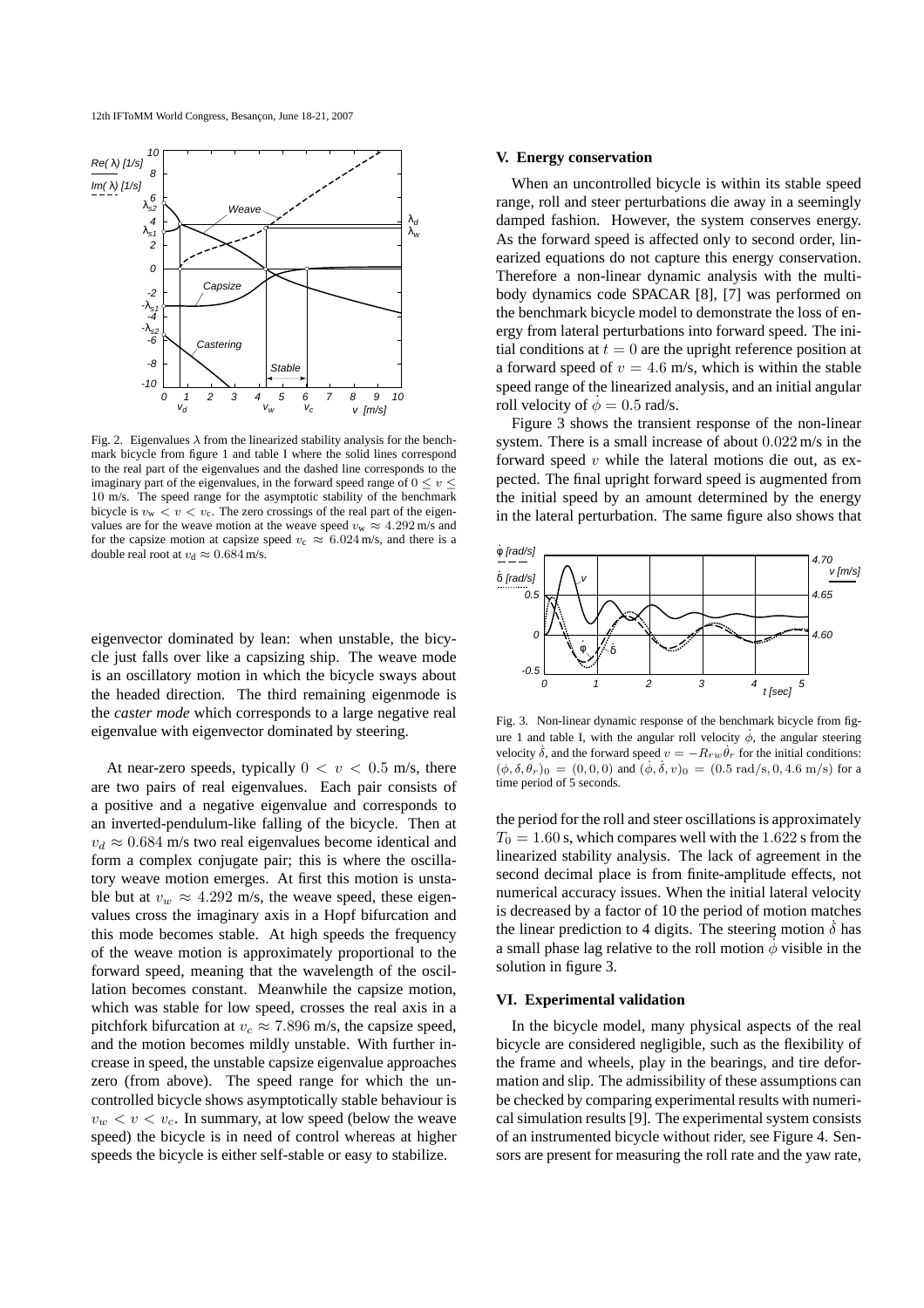

Fig. 2. Eigenvalues  $\lambda$  from the linearized stability analysis for the benchmark bicycle from figure 1 and table I where the solid lines correspond to the real part of the eigenvalues and the dashed line corresponds to the imaginary part of the eigenvalues, in the forward speed range of  $0 \le v \le$ 10 m/s. The speed range for the asymptotic stability of the benchmark bicycle is  $v_w < v < v_c$ . The zero crossings of the real part of the eigenvalues are for the weave motion at the weave speed  $v_w \approx 4.292$  m/s and for the capsize motion at capsize speed  $v_c \approx 6.024$  m/s, and there is a double real root at  $v_d \approx 0.684$  m/s.

eigenvector dominated by lean: when unstable, the bicycle just falls over like a capsizing ship. The weave mode is an oscillatory motion in which the bicycle sways about the headed direction. The third remaining eigenmode is the *caster mode* which corresponds to a large negative real eigenvalue with eigenvector dominated by steering.

At near-zero speeds, typically  $0 < v < 0.5$  m/s, there are two pairs of real eigenvalues. Each pair consists of a positive and a negative eigenvalue and corresponds to an inverted-pendulum-like falling of the bicycle. Then at  $v_d \approx 0.684$  m/s two real eigenvalues become identical and form a complex conjugate pair; this is where the oscillatory weave motion emerges. At first this motion is unstable but at  $v_w \approx 4.292$  m/s, the weave speed, these eigenvalues cross the imaginary axis in a Hopf bifurcation and this mode becomes stable. At high speeds the frequency of the weave motion is approximately proportional to the forward speed, meaning that the wavelength of the oscillation becomes constant. Meanwhile the capsize motion, which was stable for low speed, crosses the real axis in a pitchfork bifurcation at  $v_c \approx 7.896$  m/s, the capsize speed, and the motion becomes mildly unstable. With further increase in speed, the unstable capsize eigenvalue approaches zero (from above). The speed range for which the uncontrolled bicycle shows asymptotically stable behaviour is  $v_w < v < v_c$ . In summary, at low speed (below the weave speed) the bicycle is in need of control whereas at higher speeds the bicycle is either self-stable or easy to stabilize.

## **V. Energy conservation**

When an uncontrolled bicycle is within its stable speed range, roll and steer perturbations die away in a seemingly damped fashion. However, the system conserves energy. As the forward speed is affected only to second order, linearized equations do not capture this energy conservation. Therefore a non-linear dynamic analysis with the multibody dynamics code SPACAR [8], [7] was performed on the benchmark bicycle model to demonstrate the loss of energy from lateral perturbations into forward speed. The initial conditions at  $t = 0$  are the upright reference position at a forward speed of  $v = 4.6$  m/s, which is within the stable speed range of the linearized analysis, and an initial angular roll velocity of  $\dot{\phi} = 0.5$  rad/s.

Figure 3 shows the transient response of the non-linear system. There is a small increase of about 0.022 m/s in the forward speed  $v$  while the lateral motions die out, as expected. The final upright forward speed is augmented from the initial speed by an amount determined by the energy in the lateral perturbation. The same figure also shows that



Fig. 3. Non-linear dynamic response of the benchmark bicycle from figure 1 and table I, with the angular roll velocity  $\phi$ , the angular steering velocity  $\dot{\delta}$ , and the forward speed  $v = -R_{rw}\dot{\theta}_r$  for the initial conditions:  $(\phi, \delta, \theta_r)_0 = (0, 0, 0)$  and  $(\dot{\phi}, \dot{\delta}, v)_0 = (0.5 \text{ rad/s}, 0, 4.6 \text{ m/s})$  for a time period of 5 seconds.

the period for the roll and steer oscillations is approximately  $T_0 = 1.60$  s, which compares well with the 1.622 s from the linearized stability analysis. The lack of agreement in the second decimal place is from finite-amplitude effects, not numerical accuracy issues. When the initial lateral velocity is decreased by a factor of 10 the period of motion matches the linear prediction to 4 digits. The steering motion  $\dot{\delta}$  has a small phase lag relative to the roll motion  $\dot{\phi}$  visible in the solution in figure 3.

# **VI. Experimental validation**

In the bicycle model, many physical aspects of the real bicycle are considered negligible, such as the flexibility of the frame and wheels, play in the bearings, and tire deformation and slip. The admissibility of these assumptions can be checked by comparing experimental results with numerical simulation results [9]. The experimental system consists of an instrumented bicycle without rider, see Figure 4. Sensors are present for measuring the roll rate and the yaw rate,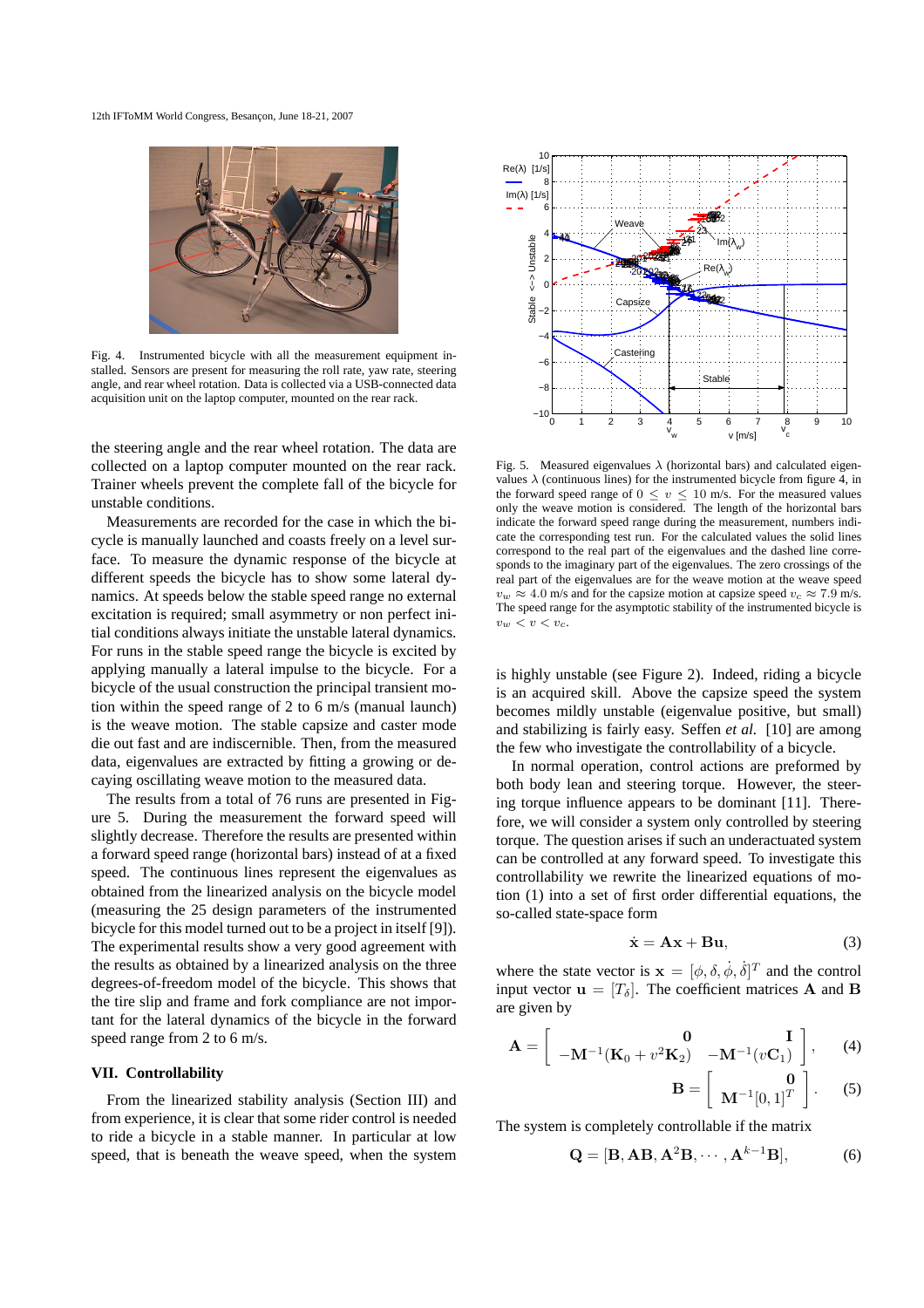

Fig. 4. Instrumented bicycle with all the measurement equipment installed. Sensors are present for measuring the roll rate, yaw rate, steering angle, and rear wheel rotation. Data is collected via a USB-connected data acquisition unit on the laptop computer, mounted on the rear rack.

the steering angle and the rear wheel rotation. The data are collected on a laptop computer mounted on the rear rack. Trainer wheels prevent the complete fall of the bicycle for unstable conditions.

Measurements are recorded for the case in which the bicycle is manually launched and coasts freely on a level surface. To measure the dynamic response of the bicycle at different speeds the bicycle has to show some lateral dynamics. At speeds below the stable speed range no external excitation is required; small asymmetry or non perfect initial conditions always initiate the unstable lateral dynamics. For runs in the stable speed range the bicycle is excited by applying manually a lateral impulse to the bicycle. For a bicycle of the usual construction the principal transient motion within the speed range of 2 to 6 m/s (manual launch) is the weave motion. The stable capsize and caster mode die out fast and are indiscernible. Then, from the measured data, eigenvalues are extracted by fitting a growing or decaying oscillating weave motion to the measured data.

The results from a total of 76 runs are presented in Figure 5. During the measurement the forward speed will slightly decrease. Therefore the results are presented within a forward speed range (horizontal bars) instead of at a fixed speed. The continuous lines represent the eigenvalues as obtained from the linearized analysis on the bicycle model (measuring the 25 design parameters of the instrumented bicycle for this model turned out to be a project in itself [9]). The experimental results show a very good agreement with the results as obtained by a linearized analysis on the three degrees-of-freedom model of the bicycle. This shows that the tire slip and frame and fork compliance are not important for the lateral dynamics of the bicycle in the forward speed range from 2 to 6 m/s.

#### **VII. Controllability**

From the linearized stability analysis (Section III) and from experience, it is clear that some rider control is needed to ride a bicycle in a stable manner. In particular at low speed, that is beneath the weave speed, when the system



Fig. 5. Measured eigenvalues  $\lambda$  (horizontal bars) and calculated eigenvalues  $\lambda$  (continuous lines) for the instrumented bicycle from figure 4, in the forward speed range of  $0 \le v \le 10$  m/s. For the measured values only the weave motion is considered. The length of the horizontal bars indicate the forward speed range during the measurement, numbers indicate the corresponding test run. For the calculated values the solid lines correspond to the real part of the eigenvalues and the dashed line corresponds to the imaginary part of the eigenvalues. The zero crossings of the real part of the eigenvalues are for the weave motion at the weave speed  $v_w \approx 4.0$  m/s and for the capsize motion at capsize speed  $v_c \approx 7.9$  m/s. The speed range for the asymptotic stability of the instrumented bicycle is  $v_w < v < v_c$ .

is highly unstable (see Figure 2). Indeed, riding a bicycle is an acquired skill. Above the capsize speed the system becomes mildly unstable (eigenvalue positive, but small) and stabilizing is fairly easy. Seffen *et al.* [10] are among the few who investigate the controllability of a bicycle.

In normal operation, control actions are preformed by both body lean and steering torque. However, the steering torque influence appears to be dominant [11]. Therefore, we will consider a system only controlled by steering torque. The question arises if such an underactuated system can be controlled at any forward speed. To investigate this controllability we rewrite the linearized equations of motion (1) into a set of first order differential equations, the so-called state-space form

$$
\dot{\mathbf{x}} = \mathbf{A}\mathbf{x} + \mathbf{B}\mathbf{u},\tag{3}
$$

where the state vector is  $\mathbf{x} = [\phi, \delta, \dot{\phi}, \dot{\delta}]^T$  and the control input vector  $\mathbf{u} = [T_{\delta}]$ . The coefficient matrices **A** and **B** are given by

$$
\mathbf{A} = \begin{bmatrix} \mathbf{0} & \mathbf{I} \\ -\mathbf{M}^{-1}(\mathbf{K}_0 + v^2 \mathbf{K}_2) & -\mathbf{M}^{-1}(v\mathbf{C}_1) \end{bmatrix}, \quad (4)
$$

$$
\mathbf{B} = \left[ \begin{array}{c} \mathbf{0} \\ \mathbf{M}^{-1} [0,1]^T \end{array} \right]. \tag{5}
$$

The system is completely controllable if the matrix

$$
\mathbf{Q} = [\mathbf{B}, \mathbf{A}\mathbf{B}, \mathbf{A}^2\mathbf{B}, \cdots, \mathbf{A}^{k-1}\mathbf{B}],
$$
 (6)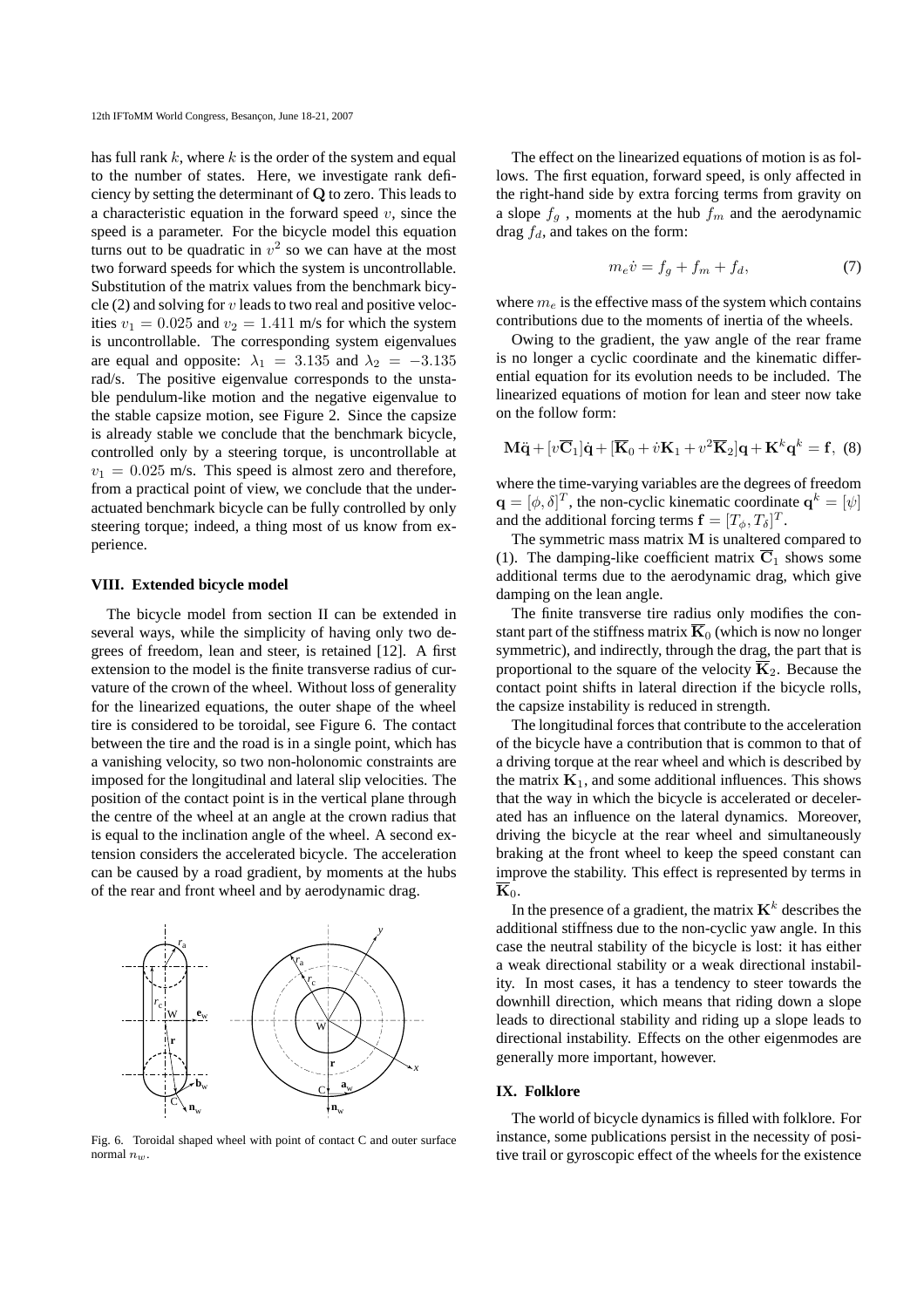has full rank  $k$ , where  $k$  is the order of the system and equal to the number of states. Here, we investigate rank deficiency by setting the determinant of Q to zero. This leads to a characteristic equation in the forward speed  $v$ , since the speed is a parameter. For the bicycle model this equation turns out to be quadratic in  $v^2$  so we can have at the most two forward speeds for which the system is uncontrollable. Substitution of the matrix values from the benchmark bicycle  $(2)$  and solving for v leads to two real and positive velocities  $v_1 = 0.025$  and  $v_2 = 1.411$  m/s for which the system is uncontrollable. The corresponding system eigenvalues are equal and opposite:  $\lambda_1 = 3.135$  and  $\lambda_2 = -3.135$ rad/s. The positive eigenvalue corresponds to the unstable pendulum-like motion and the negative eigenvalue to the stable capsize motion, see Figure 2. Since the capsize is already stable we conclude that the benchmark bicycle, controlled only by a steering torque, is uncontrollable at  $v_1 = 0.025$  m/s. This speed is almost zero and therefore, from a practical point of view, we conclude that the underactuated benchmark bicycle can be fully controlled by only steering torque; indeed, a thing most of us know from experience.

# **VIII. Extended bicycle model**

The bicycle model from section II can be extended in several ways, while the simplicity of having only two degrees of freedom, lean and steer, is retained [12]. A first extension to the model is the finite transverse radius of curvature of the crown of the wheel. Without loss of generality for the linearized equations, the outer shape of the wheel tire is considered to be toroidal, see Figure 6. The contact between the tire and the road is in a single point, which has a vanishing velocity, so two non-holonomic constraints are imposed for the longitudinal and lateral slip velocities. The position of the contact point is in the vertical plane through the centre of the wheel at an angle at the crown radius that is equal to the inclination angle of the wheel. A second extension considers the accelerated bicycle. The acceleration can be caused by a road gradient, by moments at the hubs of the rear and front wheel and by aerodynamic drag.



Fig. 6. Toroidal shaped wheel with point of contact C and outer surface normal  $n_w$ .

The effect on the linearized equations of motion is as follows. The first equation, forward speed, is only affected in the right-hand side by extra forcing terms from gravity on a slope  $f_g$ , moments at the hub  $f_m$  and the aerodynamic drag  $f_d$ , and takes on the form:

$$
m_e \dot{v} = f_g + f_m + f_d,\tag{7}
$$

where  $m_e$  is the effective mass of the system which contains contributions due to the moments of inertia of the wheels.

Owing to the gradient, the yaw angle of the rear frame is no longer a cyclic coordinate and the kinematic differential equation for its evolution needs to be included. The linearized equations of motion for lean and steer now take on the follow form:

$$
\mathbf{M}\ddot{\mathbf{q}} + [v\overline{\mathbf{C}}_1]\dot{\mathbf{q}} + [\overline{\mathbf{K}}_0 + \dot{v}\mathbf{K}_1 + v^2\overline{\mathbf{K}}_2]\mathbf{q} + \mathbf{K}^k\mathbf{q}^k = \mathbf{f}, \tag{8}
$$

where the time-varying variables are the degrees of freedom  $\mathbf{q} = [\phi, \delta]^T$ , the non-cyclic kinematic coordinate  $\mathbf{q}^k = [\psi]$ and the additional forcing terms  $\mathbf{f} = [T_{\phi}, T_{\delta}]^T$ .

The symmetric mass matrix M is unaltered compared to (1). The damping-like coefficient matrix  $\overline{C}_1$  shows some additional terms due to the aerodynamic drag, which give damping on the lean angle.

The finite transverse tire radius only modifies the constant part of the stiffness matrix  $\overline{K}_0$  (which is now no longer symmetric), and indirectly, through the drag, the part that is proportional to the square of the velocity  $\overline{K}_2$ . Because the contact point shifts in lateral direction if the bicycle rolls, the capsize instability is reduced in strength.

The longitudinal forces that contribute to the acceleration of the bicycle have a contribution that is common to that of a driving torque at the rear wheel and which is described by the matrix  $K_1$ , and some additional influences. This shows that the way in which the bicycle is accelerated or decelerated has an influence on the lateral dynamics. Moreover, driving the bicycle at the rear wheel and simultaneously braking at the front wheel to keep the speed constant can improve the stability. This effect is represented by terms in  $\overline{\mathbf{K}}_0$ .

In the presence of a gradient, the matrix  $\mathbf{K}^k$  describes the additional stiffness due to the non-cyclic yaw angle. In this case the neutral stability of the bicycle is lost: it has either a weak directional stability or a weak directional instability. In most cases, it has a tendency to steer towards the downhill direction, which means that riding down a slope leads to directional stability and riding up a slope leads to directional instability. Effects on the other eigenmodes are generally more important, however.

#### **IX. Folklore**

The world of bicycle dynamics is filled with folklore. For instance, some publications persist in the necessity of positive trail or gyroscopic effect of the wheels for the existence